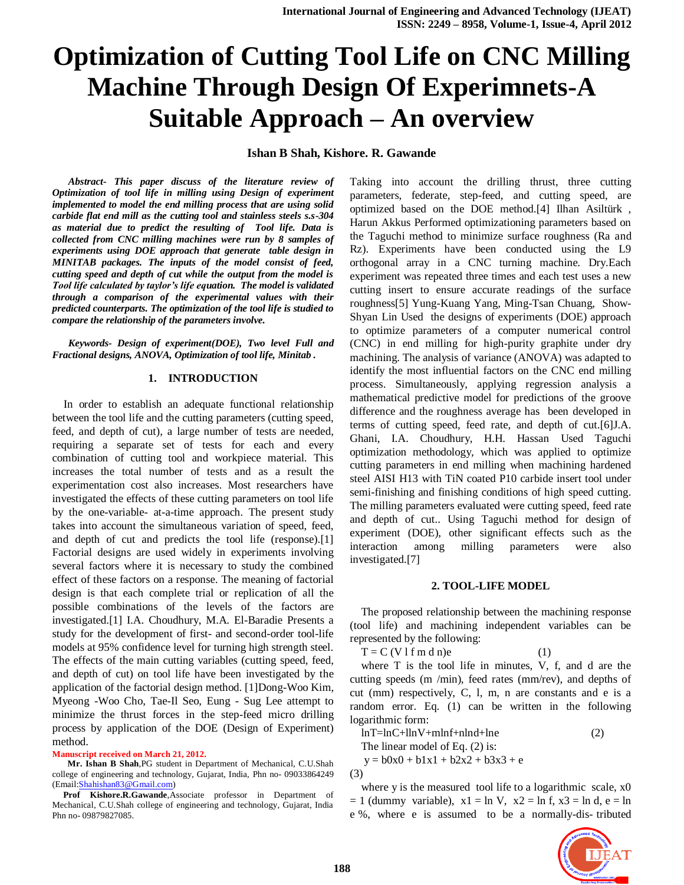**Ishan B Shah, Kishore. R. Gawande**

*Abstract- This paper discuss of the literature review of Optimization of tool life in milling using Design of experiment implemented to model the end milling process that are using solid carbide flat end mill as the cutting tool and stainless steels s.s-304 as material due to predict the resulting of Tool life. Data is collected from CNC milling machines were run by 8 samples of experiments using DOE approach that generate table design in MINITAB packages. The inputs of the model consist of feed, cutting speed and depth of cut while the output from the model is Tool life calculated by taylor's life equation. The model is validated through a comparison of the experimental values with their predicted counterparts. The optimization of the tool life is studied to compare the relationship of the parameters involve.*

*Keywords- Design of experiment(DOE), Two level Full and Fractional designs, ANOVA, Optimization of tool life, Minitab .*

#### **1. INTRODUCTION**

In order to establish an adequate functional relationship between the tool life and the cutting parameters (cutting speed, feed, and depth of cut), a large number of tests are needed, requiring a separate set of tests for each and every combination of cutting tool and workpiece material. This increases the total number of tests and as a result the experimentation cost also increases. Most researchers have investigated the effects of these cutting parameters on tool life by the one-variable- at-a-time approach. The present study takes into account the simultaneous variation of speed, feed, and depth of cut and predicts the tool life (response).[1] Factorial designs are used widely in experiments involving several factors where it is necessary to study the combined effect of these factors on a response. The meaning of factorial design is that each complete trial or replication of all the possible combinations of the levels of the factors are investigated.[1] I.A. Choudhury, M.A. El-Baradie Presents a study for the development of first- and second-order tool-life models at 95% confidence level for turning high strength steel. The effects of the main cutting variables (cutting speed, feed, and depth of cut) on tool life have been investigated by the application of the factorial design method. [1]Dong-Woo Kim, Myeong -Woo Cho, Tae-Il Seo, Eung - Sug Lee attempt to minimize the thrust forces in the step-feed micro drilling process by application of the DOE (Design of Experiment) method.

#### **Manuscript received on March 21, 2012.**

 **Mr. Ishan B Shah**,PG student in Department of Mechanical, C.U.Shah college of engineering and technology, Gujarat, India, Phn no- 09033864249 (Email[:Shahishan83@Gmail.com\)](mailto:Shahishan83@Gmail.com)

 **Prof Kishore.R.Gawande**,Associate professor in Department of Mechanical, C.U.Shah college of engineering and technology, Gujarat, India Phn no- 09879827085.

Taking into account the drilling thrust, three cutting parameters, federate, step-feed, and cutting speed, are optimized based on the DOE method.[4] Ilhan Asiltürk , Harun Akkus Performed optimizationing parameters based on the Taguchi method to minimize surface roughness (Ra and Rz). Experiments have been conducted using the L9 orthogonal array in a CNC turning machine. Dry.Each experiment was repeated three times and each test uses a new cutting insert to ensure accurate readings of the surface roughness[5] Yung-Kuang Yang, Ming-Tsan Chuang, Show-Shyan Lin Used the designs of experiments (DOE) approach to optimize parameters of a computer numerical control (CNC) in end milling for high-purity graphite under dry machining. The analysis of variance (ANOVA) was adapted to identify the most influential factors on the CNC end milling process. Simultaneously, applying regression analysis a mathematical predictive model for predictions of the groove difference and the roughness average has been developed in terms of cutting speed, feed rate, and depth of cut.[6]J.A. Ghani, I.A. Choudhury, H.H. Hassan Used Taguchi optimization methodology, which was applied to optimize cutting parameters in end milling when machining hardened steel AISI H13 with TiN coated P10 carbide insert tool under semi-finishing and finishing conditions of high speed cutting. The milling parameters evaluated were cutting speed, feed rate and depth of cut.. Using Taguchi method for design of experiment (DOE), other significant effects such as the interaction among milling parameters were also investigated.[7]

#### **2. TOOL-LIFE MODEL**

The proposed relationship between the machining response (tool life) and machining independent variables can be represented by the following:

 $T = C (V 1 f m d n)e$  (1)

where T is the tool life in minutes, V, f, and d are the cutting speeds (m /min), feed rates (mm/rev), and depths of cut (mm) respectively, C, l, m, n are constants and e is a random error. Eq. (1) can be written in the following logarithmic form:

 $ln T = ln C + ln V + m ln f + n ln d + ln e$  (2)

The linear model of Eq. (2) is:

 $y = b0x0 + b1x1 + b2x2 + b3x3 + e$ (3)

where y is the measured tool life to a logarithmic scale,  $x0$  $= 1$  (dummy variable),  $x1 = \ln V$ ,  $x2 = \ln f$ ,  $x3 = \ln d$ ,  $e = \ln$ e %, where e is assumed to be a normally-dis- tributed

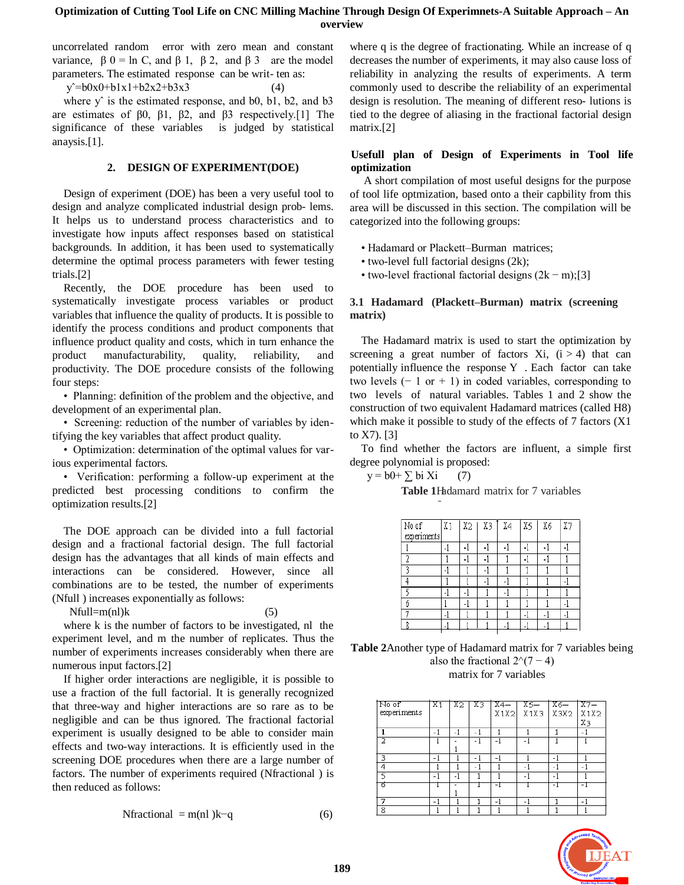uncorrelated random error with zero mean and constant variance,  $β 0 = ln C$ , and  $β 1$ ,  $β 2$ , and  $β 3$  are the model parameters. The estimated response can be writ- ten as:

 $y^2 = b0x0 + b1x1 + b2x2 + b3x3$  (4)

where  $y^{\hat{ }}$  is the estimated response, and b0, b1, b2, and b3 are estimates of β0, β1, β2, and β3 respectively.[1] The significance of these variables is judged by statistical anaysis.[1].

#### **2. DESIGN OF EXPERIMENT(DOE)**

Design of experiment (DOE) has been a very useful tool to design and analyze complicated industrial design prob- lems. It helps us to understand process characteristics and to investigate how inputs affect responses based on statistical backgrounds. In addition, it has been used to systematically determine the optimal process parameters with fewer testing trials.[2]

Recently, the DOE procedure has been used to systematically investigate process variables or product variables that influence the quality of products. It is possible to identify the process conditions and product components that influence product quality and costs, which in turn enhance the product manufacturability, quality, reliability, and productivity. The DOE procedure consists of the following four steps:

• Planning: definition of the problem and the objective, and development of an experimental plan.

• Screening: reduction of the number of variables by identifying the key variables that affect product quality.

• Optimization: determination of the optimal values for various experimental factors.

• Verification: performing a follow-up experiment at the predicted best processing conditions to confirm the optimization results.[2]

The DOE approach can be divided into a full factorial design and a fractional factorial design. The full factorial design has the advantages that all kinds of main effects and interactions can be considered. However, since all combinations are to be tested, the number of experiments (Nfull ) increases exponentially as follows:

 $Nfull=m(n)k$  (5)

where k is the number of factors to be investigated, nl the experiment level, and m the number of replicates. Thus the number of experiments increases considerably when there are numerous input factors.[2]

If higher order interactions are negligible, it is possible to use a fraction of the full factorial. It is generally recognized that three-way and higher interactions are so rare as to be negligible and can be thus ignored. The fractional factorial experiment is usually designed to be able to consider main effects and two-way interactions. It is efficiently used in the screening DOE procedures when there are a large number of factors. The number of experiments required (Nfractional ) is then reduced as follows:

$$
Nfractional = m(nl)k-q
$$
 (6)

where q is the degree of fractionating. While an increase of q decreases the number of experiments, it may also cause loss of reliability in analyzing the results of experiments. A term commonly used to describe the reliability of an experimental design is resolution. The meaning of different reso- lutions is tied to the degree of aliasing in the fractional factorial design matrix.[2]

## **Usefull plan of Design of Experiments in Tool life optimization**

A short compilation of most useful designs for the purpose of tool life optmization, based onto a their capbility from this area will be discussed in this section. The compilation will be categorized into the following groups:

- Hadamard or Plackett–Burman matrices;
- two-level full factorial designs (2k);
- two-level fractional factorial designs  $(2k m)$ ;[3]

## **3.1 Hadamard (Plackett–Burman) matrix (screening matrix)**

The Hadamard matrix is used to start the optimization by screening a great number of factors  $Xi$ ,  $(i > 4)$  that can potentially influence the response Y . Each factor can take two levels  $(-1 \text{ or } + 1)$  in coded variables, corresponding to two levels of natural variables. Tables 1 and 2 show the construction of two equivalent Hadamard matrices (called H8) which make it possible to study of the effects of 7 factors (X1 to X7). [3]

To find whether the factors are influent, a simple first degree polynomial is proposed:

 $y = b0 + \sum bi Xi$  (7)

**Table 1**Hadamard matrix for 7 variables

| No of       | X <sub>1</sub> | X2             | X3   X4 | $\sqrt{X5}$ | X6<br>ı | X7 |
|-------------|----------------|----------------|---------|-------------|---------|----|
| experiments |                |                |         |             |         |    |
|             |                |                |         |             |         |    |
| 2           |                |                |         |             |         |    |
| 2           | ۰              |                | ٠       |             |         |    |
|             |                |                |         |             |         |    |
|             |                |                |         |             |         |    |
| б           |                | $\blacksquare$ |         |             |         |    |
| G           | ٠              |                |         | ٠           |         | ٠  |
| о           |                |                |         |             |         |    |

| <b>Table 2</b> Another type of Hadamard matrix for 7 variables being |
|----------------------------------------------------------------------|
| also the fractional $2^{(7-4)}$                                      |
| matrix for 7 variables                                               |

| No of       | X1   | X2 . | X3   | $X4=1$ | $X5=$                       | $X6=$ | $1x7=$ |
|-------------|------|------|------|--------|-----------------------------|-------|--------|
| experiments |      |      |      |        | $X1X2$ $X1X3$ $X3X2$ $X1X2$ |       |        |
|             |      |      |      |        |                             |       | Xз     |
|             | $-1$ | -1   | - 1  |        |                             |       | $-1$   |
|             |      |      |      |        |                             |       |        |
|             |      |      |      |        |                             |       |        |
| 3           | - 1  |      | $-1$ | -1     |                             | - 1   |        |
| 4           |      |      | $-1$ |        | - 1                         | - 1   | - 1    |
| 5           |      |      |      |        | $\overline{\phantom{a}}$    |       |        |
| 百           |      |      |      |        |                             |       |        |
|             |      |      |      |        |                             |       |        |
| 7           | - 1  |      |      | - 1    | - 1                         |       | - 1    |
| 8           |      |      |      |        |                             |       |        |

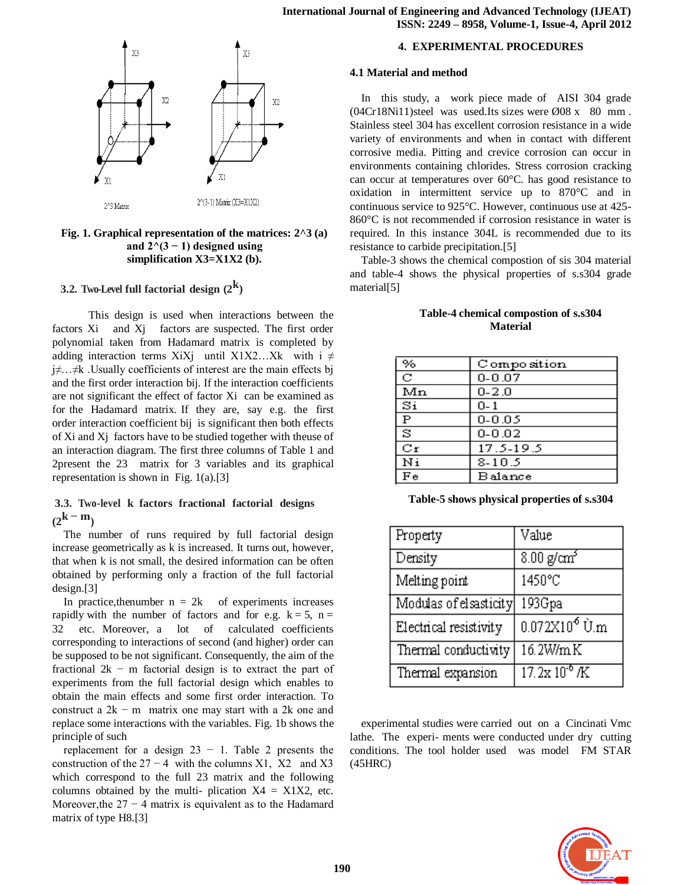

### **Fig. 1. Graphical representation of the matrices: 2^3 (a) and 2^(3 − 1) designed using simplification X3=X1X2 (b).**

# **3.2. Two-Level full factorial design (2 k )**

 This design is used when interactions between the factors Xi and Xj factors are suspected. The first order polynomial taken from Hadamard matrix is completed by adding interaction terms XiXj until X1X2…Xk with i  $\neq$ j≠…≠k .Usually coefficients of interest are the main effects bj and the first order interaction bij. If the interaction coefficients are not significant the effect of factor Xi can be examined as for the Hadamard matrix. If they are, say e.g. the first order interaction coefficient bij is significant then both effects of Xi and Xj factors have to be studied together with theuse of an interaction diagram. The first three columns of Table 1 and 2present the 23 matrix for 3 variables and its graphical representation is shown in Fig. 1(a).[3]

# **3.3. Two-level k factors fractional factorial designs**  $(2^{\mathbf{k} - \mathbf{m}})$

The number of runs required by full factorial design increase geometrically as k is increased. It turns out, however, that when k is not small, the desired information can be often obtained by performing only a fraction of the full factorial design.[3]

In practice, the<br>number  $n = 2k$  of experiments increases rapidly with the number of factors and for e.g.  $k = 5$ ,  $n =$ 32 etc. Moreover, a lot of calculated coefficients corresponding to interactions of second (and higher) order can be supposed to be not significant. Consequently, the aim of the fractional  $2k - m$  factorial design is to extract the part of experiments from the full factorial design which enables to obtain the main effects and some first order interaction. To construct a  $2k - m$  matrix one may start with a 2k one and replace some interactions with the variables. Fig. 1b shows the principle of such

replacement for a design  $23 - 1$ . Table 2 presents the construction of the  $27 - 4$  with the columns X1, X2 and X3 which correspond to the full 23 matrix and the following columns obtained by the multi- plication  $X4 = X1X2$ , etc. Moreover, the  $27 - 4$  matrix is equivalent as to the Hadamard matrix of type H8.[3]

#### **4. EXPERIMENTAL PROCEDURES**

#### **4.1 Material and method**

In this study, a work piece made of AISI 304 grade  $(04Cr18Ni11)$ steel was used.Its sizes were  $\emptyset$ 08 x 80 mm. Stainless steel 304 has excellent corrosion resistance in a wide variety of environments and when in contact with different corrosive media. Pitting and crevice corrosion can occur in environments containing chlorides. Stress corrosion cracking can occur at temperatures over 60°C. has good resistance to oxidation in intermittent service up to 870°C and in continuous service to 925°C. However, continuous use at 425- 860°C is not recommended if corrosion resistance in water is required. In this instance 304L is recommended due to its resistance to carbide precipitation.[5]

Table-3 shows the chemical compostion of sis 304 material and table-4 shows the physical properties of s.s304 grade material[5]

| %             | Composition    |
|---------------|----------------|
| С             | $0 - 0.07$     |
| Mn            | $0 - 2.0$      |
| $\mathbf{Si}$ | $0 - 1$        |
| $\, {\bf P}$  | $0 - 0.05$     |
| ਡ             | $0 - 0.02$     |
| $_{\rm cr}$   | 17.5-19.5      |
| Ni            | $8 - 10.5$     |
| Fe            | <b>Balance</b> |
|               |                |

# **Table-4 chemical compostion of s.s304 Material**

**Table-5 shows physical properties of s.s304** 

| Property               | Value                  |
|------------------------|------------------------|
| Density                | 8.00 g/cm <sup>3</sup> |
| Melting point          | 1450°C                 |
| Modulas of elsasticity | 193Gpa                 |
| Electrical resistivity | $0.072X10^6$ U.m       |
| Thermal conductivity   | 16.2W/mK               |
| Thermal expansion      | $17.2x10^{6}$ /K       |

experimental studies were carried out on a Cincinati Vmc lathe. The experi- ments were conducted under dry cutting conditions. The tool holder used was model FM STAR (45HRC)

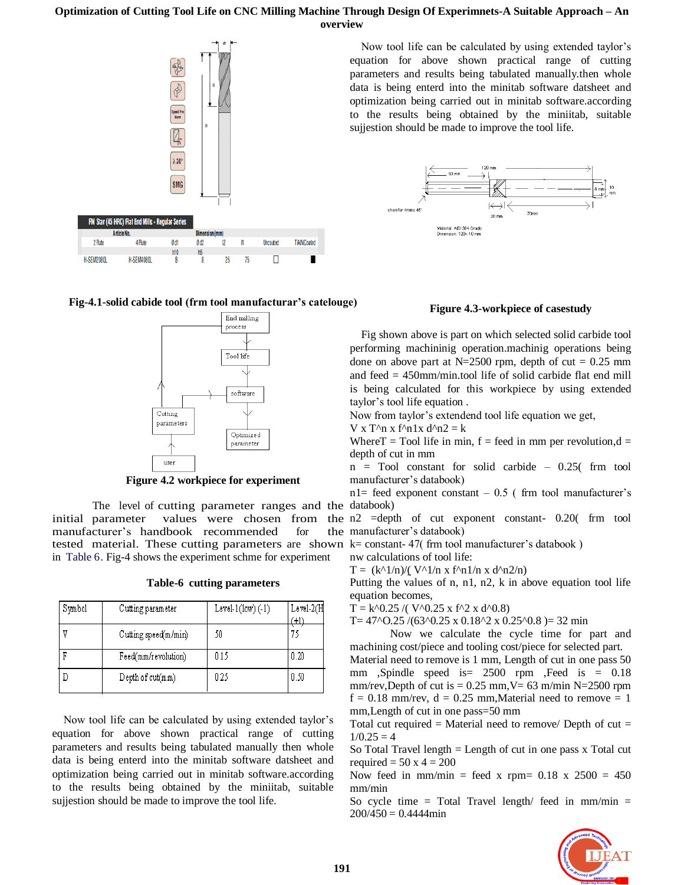

**Fig-4.1-solid cabide tool (frm tool manufacturar's catelouge)**



**Figure 4.2 workpiece for experiment**

The level of cutting parameter ranges and the databook) initial parameter values were chosen from the n2 =depth of cut exponent constant- 0.20(frm tool manufacturer's handbook recommended for tested material. These cutting parameters are shown k= constant-47(frm tool manufacturer's databook) in Table 6. Fig-4 shows the experiment schme for experiment

|  |  | Table-6 cutting parameters |
|--|--|----------------------------|
|--|--|----------------------------|

| Symbol | Cutting parameter    | Level- $1(low) (-1)$ | $Level-2(H)$ |
|--------|----------------------|----------------------|--------------|
|        | Cutting speed(m/min) | 50                   |              |
| г      | Feed(mm/revolution)  | 0.15                 | 0.20         |
|        | Depth of cut(mm)     | 0.25                 | 0.50         |

Now tool life can be calculated by using extended taylor's equation for above shown practical range of cutting parameters and results being tabulated manually then whole data is being enterd into the minitab software datsheet and optimization being carried out in minitab software.according to the results being obtained by the miniitab, suitable sujjestion should be made to improve the tool life.

Now tool life can be calculated by using extended taylor's equation for above shown practical range of cutting parameters and results being tabulated manually.then whole data is being enterd into the minitab software datsheet and optimization being carried out in minitab software.according to the results being obtained by the miniitab, suitable sujjestion should be made to improve the tool life.



# **Figure 4.3-workpiece of casestudy**

Fig shown above is part on which selected solid carbide tool performing machininig operation.machinig operations being done on above part at N=2500 rpm, depth of cut =  $0.25$  mm and feed = 450mm/min.tool life of solid carbide flat end mill is being calculated for this workpiece by using extended taylor's tool life equation .

Now from taylor's extendend tool life equation we get,

V x T^n x f^n1x  $d^2n^2 = k$ 

Where  $T = Tool$  life in min,  $f = feed$  in mm per revolution, $d =$ depth of cut in mm

n = Tool constant for solid carbide – 0.25( frm tool manufacturer's databook)

 $nl = feed exponent constant - 0.5$  (frm tool manufacturer's

manufacturer's databook)

nw calculations of tool life:

 $T = (k^{\Lambda}1/n)/(V^{\Lambda}1/n \times f^{\Lambda}n1/n \times d^{\Lambda}n2/n)$ 

Putting the values of n, n1, n2, k in above equation tool life equation becomes,

 $T = k^0.25 / ( V^0.25 x f^2 x d^0.8)$ 

T=  $47^{\circ}$ O.25 /(63^0.25 x 0.18^2 x 0.25^0.8 )= 32 min

Now we calculate the cycle time for part and machining cost/piece and tooling cost/piece for selected part.

Material need to remove is 1 mm, Length of cut in one pass 50 mm ,Spindle speed is= 2500 rpm ,Feed is = 0.18 mm/rev,Depth of cut is  $= 0.25$  mm, V= 63 m/min N=2500 rpm  $f = 0.18$  mm/rev,  $d = 0.25$  mm, Material need to remove = 1 mm,Length of cut in one pass=50 mm

Total cut required = Material need to remove/ Depth of cut =  $1/0.25 = 4$ 

So Total Travel length = Length of cut in one pass x Total cut required  $= 50 \times 4 = 200$ 

Now feed in mm/min = feed x rpm=  $0.18$  x  $2500 = 450$ mm/min

So cycle time = Total Travel length/ feed in mm/min =  $200/450 = 0.4444$ min

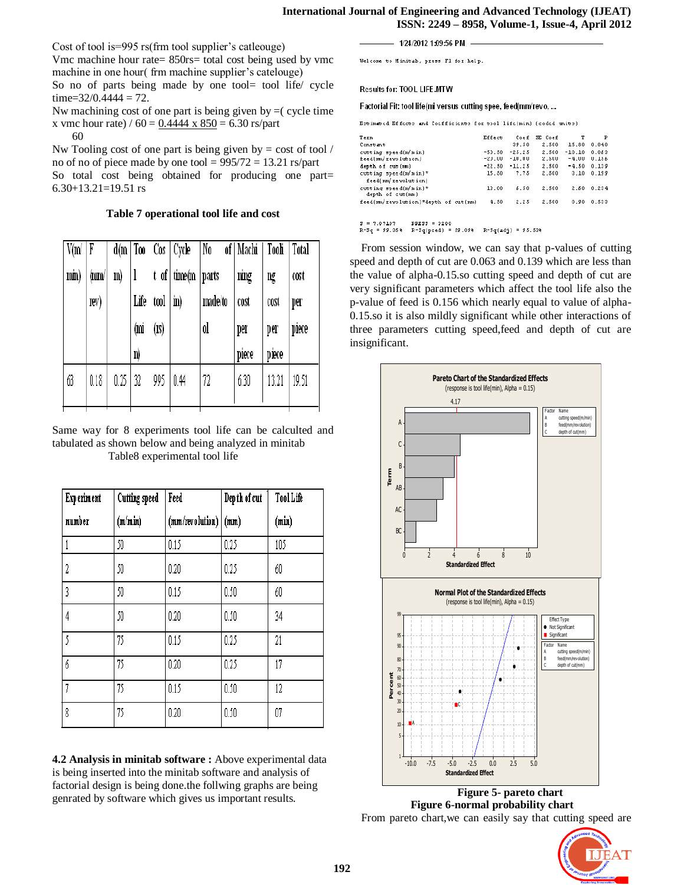#### **International Journal of Engineering and Advanced Technology (IJEAT) ISSN: 2249 – 8958, Volume-1, Issue-4, April 2012**

Cost of tool is=995 rs(frm tool supplier's catleouge)

Vmc machine hour rate= 850rs= total cost being used by vmc machine in one hour( frm machine supplier's catelouge)

So no of parts being made by one tool= tool life/ cycle  $time=32/0.4444 = 72.$ 

Nw machining cost of one part is being given by  $=$  cycle time x vmc hour rate) /  $60 = 0.4444 \times 850 = 6.30$  rs/part

60

Nw Tooling cost of one part is being given by  $=$  cost of tool  $\ell$ no of no of piece made by one tool =  $995/72 = 13.21$  rs/part

So total cost being obtained for producing one part= 6.30+13.21=19.51 rs

**Table 7 operational tool life and cost**

| V(m)<br>min) | F<br>(mm/<br>rev) | m)   | Life<br>(mi<br>n) | $\text{tool}$ $\mid$ in)<br>(1S) | $d(m   Too \text{ } Cos   Cycle)$<br>t of time(m   parts | No<br>made/to<br>ol | of   Machi<br>ning<br>cost<br>per<br>piece | Tooli<br>ng<br>cost<br>per<br>piece | Total<br>cost<br>per<br>piece |
|--------------|-------------------|------|-------------------|----------------------------------|----------------------------------------------------------|---------------------|--------------------------------------------|-------------------------------------|-------------------------------|
| 63           | 0.18              | 0.25 | 32                | 995                              | 0.44                                                     | 72                  | 6.30                                       | 13.21                               | 19.51                         |

Same way for 8 experiments tool life can be calculted and tabulated as shown below and being analyzed in minitab Table8 experimental tool life

| <b>Experiment</b> | <b>Cutting speed</b> | Feed            | Dep th of cut | ToolLife |
|-------------------|----------------------|-----------------|---------------|----------|
| number            | (m/min)              | (mm/revolution) | (mm)          | (min)    |
|                   | 50                   | 0.15            | 0.25          | 105      |
| 2                 | 50                   | 0.20            | 0.25          | 60       |
| 3                 | 50                   | 0.15            | 0.50          | 60       |
| 4                 | 50                   | 0.20            | 0.50          | 34       |
| 5                 | 75                   | 0.15            | 0.25          | 21       |
| 6                 | 75                   | 0.20            | 0.25          | 17       |
| 7                 | 75                   | 0.15            | 0.50          | 12       |
| 8                 | 75                   | 0.20            | 0.50          | 07       |

**4.2 Analysis in minitab software :** Above experimental data is being inserted into the minitab software and analysis of factorial design is being done.the follwing graphs are being genrated by software which gives us important results.

- 1/24/2012 1:09:56 PM -

Welcome to Minitab, press F1 for help.

Results for: TOOL LIFE.MTW

Factorial Fit: tool life(mi versus cutting spee, feed(mm/revo, ...

Estimated Effects and Coefficients for tool life(min) (coded units)

| Term                                      | Effect   | Coef     | SE Coef | т        | P     |
|-------------------------------------------|----------|----------|---------|----------|-------|
| Constant                                  |          | 39.50    | 2.500   | 15.80    | 0.040 |
| cutting speed(m/min)                      | $-53.50$ | $-25.25$ | 2.500   | $-10.10$ | 0.053 |
| feed(nm/revolution)                       | -23.00   | $-10.00$ | 2.500   | $-4.00$  | 0.156 |
| depth of cut (nm)                         | $-22.50$ | $-11.25$ | 2.500   | $-4.50$  | 0.139 |
| cutting speed(m/min)*                     | 15.50    | 7.75     | 2.500   | 3.10     | 0.199 |
| feed(mm/revolution)                       |          |          |         |          |       |
| cutting speed(m/min)*<br>depth of cut(mm) | 13.00    | 6.50     | 2.500   | 2.50     | 0.234 |
| feed(nm/revolution)*depth of cut(nm)      | 4.50     | 2.25     | 2.500   | 0.90     | 0.533 |
|                                           |          |          |         |          |       |
| 9 = 9 A91A9<br>DDPEE = 00.00              |          |          |         |          |       |

 $R-Sq = 99.36* R-Sq(pred) = 59.09* R-Sq(adj) = 95.53*$ 

From session window, we can say that p-values of cutting speed and depth of cut are 0.063 and 0.139 which are less than the value of alpha-0.15.so cutting speed and depth of cut are very significant parameters which affect the tool life also the p-value of feed is 0.156 which nearly equal to value of alpha-0.15.so it is also mildly significant while other interactions of three parameters cutting speed,feed and depth of cut are insignificant.



 **Figure 5- pareto chart Figure 6-normal probability chart** From pareto chart,we can easily say that cutting speed are

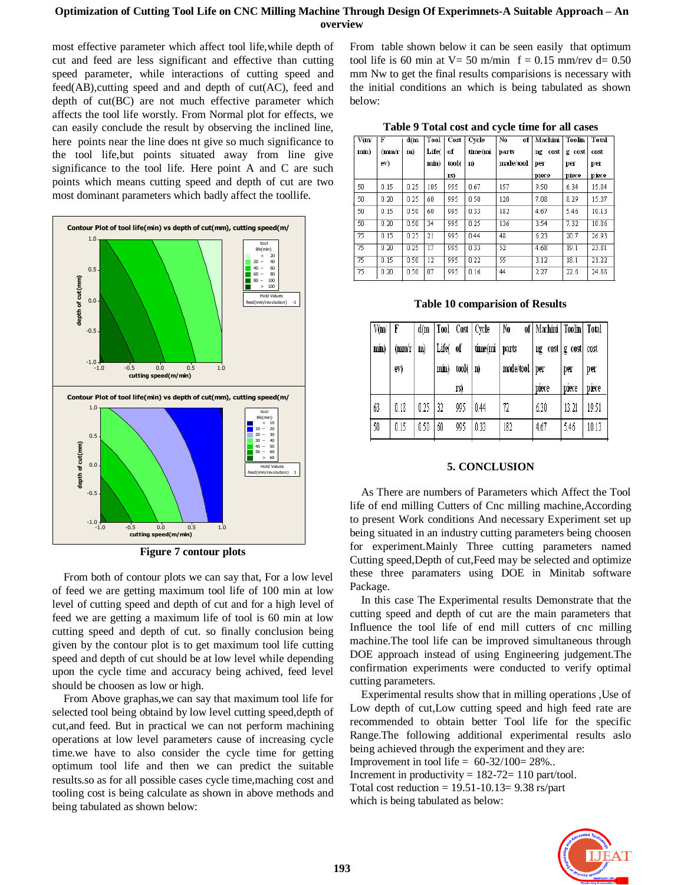most effective parameter which affect tool life,while depth of cut and feed are less significant and effective than cutting speed parameter, while interactions of cutting speed and feed(AB),cutting speed and and depth of cut(AC), feed and depth of cut(BC) are not much effective parameter which affects the tool life worstly. From Normal plot for effects, we can easily conclude the result by observing the inclined line, here points near the line does nt give so much significance to the tool life,but points situated away from line give significance to the tool life. Here point A and C are such points which means cutting speed and depth of cut are two most dominant parameters which badly affect the toollife.



**Figure 7 contour plots**

From both of contour plots we can say that, For a low level of feed we are getting maximum tool life of 100 min at low level of cutting speed and depth of cut and for a high level of feed we are getting a maximum life of tool is 60 min at low cutting speed and depth of cut. so finally conclusion being given by the contour plot is to get maximum tool life cutting speed and depth of cut should be at low level while depending upon the cycle time and accuracy being achived, feed level should be choosen as low or high.

From Above graphas,we can say that maximum tool life for selected tool being obtaind by low level cutting speed,depth of cut,and feed. But in practical we can not perform machining operations at low level parameters cause of increasing cycle time.we have to also consider the cycle time for getting optimum tool life and then we can predict the suitable results.so as for all possible cases cycle time,maching cost and tooling cost is being calculate as shown in above methods and being tabulated as shown below:

From table shown below it can be seen easily that optimum tool life is 60 min at  $V = 50$  m/min  $f = 0.15$  mm/rev d= 0.50 mm Nw to get the final results comparisions is necessary with the initial conditions an which is being tabulated as shown below:

| V(m) | F     | d(m  | Tool        | Cost  | Cycle   | No<br>of  | Machini    | Toolin | Total |
|------|-------|------|-------------|-------|---------|-----------|------------|--------|-------|
| min) | (mm/r | m)   | <b>Life</b> | of    | time(mi | parts     | cost<br>ng | g cost | cost  |
|      | ev)   |      | min)        | tool( | n)      | made/tool | per        | per    | per   |
|      |       |      |             | 18)   |         |           | piece      | piece  | piece |
| 50   | 0.15  | 0.25 | 105         | 995   | 0.67    | 157       | 9.50       | 6.34   | 15.84 |
| 50   | 0.20  | 0.25 | 60          | 995   | 0.50    | 120       | 7.08       | 8.29   | 15.37 |
| 50   | 0.15  | 0.50 | 60          | 995   | 0.33    | 182       | 4.67       | 5.46   | 10.13 |
| 50   | 0.20  | 0.50 | 34          | 995   | 0.25    | 136       | 3.54       | 7.32   | 10.86 |
| 75   | 0.15  | 0.25 | 21          | 995   | 0.44    | 48        | 6.23       | 20.7   | 26.93 |
| 75   | 0.20  | 0.25 | 17          | 995   | 0.33    | 52        | 4.68       | 19.1   | 23.81 |
| 75   | 0.15  | 0.50 | 12          | 995   | 0.22    | 55        | 3.12       | 18.1   | 21.22 |
| 75   | 0.20  | 0.50 | 07          | 995   | 0.16    | 44        | 2.27       | 22.6   | 24.88 |

**Table 10 comparision of Results**

| V(m  | F     | d(m  |         |                       | Tool Cost   Cycle | No              | of   Machini   Toolin   Total |        |       |
|------|-------|------|---------|-----------------------|-------------------|-----------------|-------------------------------|--------|-------|
| min) | (mn/r | m)   | Life(of |                       | time(mi           | parts           | ng cost                       | g cost | cost  |
|      | ev)   |      | min)    | $\text{tool}(\mid n)$ |                   | made/tool   per |                               | per    | per   |
|      |       |      |         |                       |                   |                 |                               |        |       |
|      |       |      |         | IS)                   |                   |                 | piece                         | piece  | piece |
| 63   | 0.18  | 0.25 | 32      | 995                   | 0.44              | 72              | 6.30                          | 13.21  | 19.51 |

#### **5. CONCLUSION**

As There are numbers of Parameters which Affect the Tool life of end milling Cutters of Cnc milling machine,According to present Work conditions And necessary Experiment set up being situated in an industry cutting parameters being choosen for experiment.Mainly Three cutting parameters named Cutting speed,Depth of cut,Feed may be selected and optimize these three paramaters using DOE in Minitab software Package.

In this case The Experimental results Demonstrate that the cutting speed and depth of cut are the main parameters that Influence the tool life of end mill cutters of cnc milling machine.The tool life can be improved simultaneous through DOE approach instead of using Engineering judgement.The confirmation experiments were conducted to verify optimal cutting parameters.

Experimental results show that in milling operations ,Use of Low depth of cut,Low cutting speed and high feed rate are recommended to obtain better Tool life for the specific Range.The following additional experimental results aslo being achieved through the experiment and they are: Improvement in tool life =  $60-32/100=28\%$ .. Increment in productivity  $= 182-72= 110$  part/tool. Total cost reduction  $= 19.51 - 10.13 = 9.38$  rs/part which is being tabulated as below: